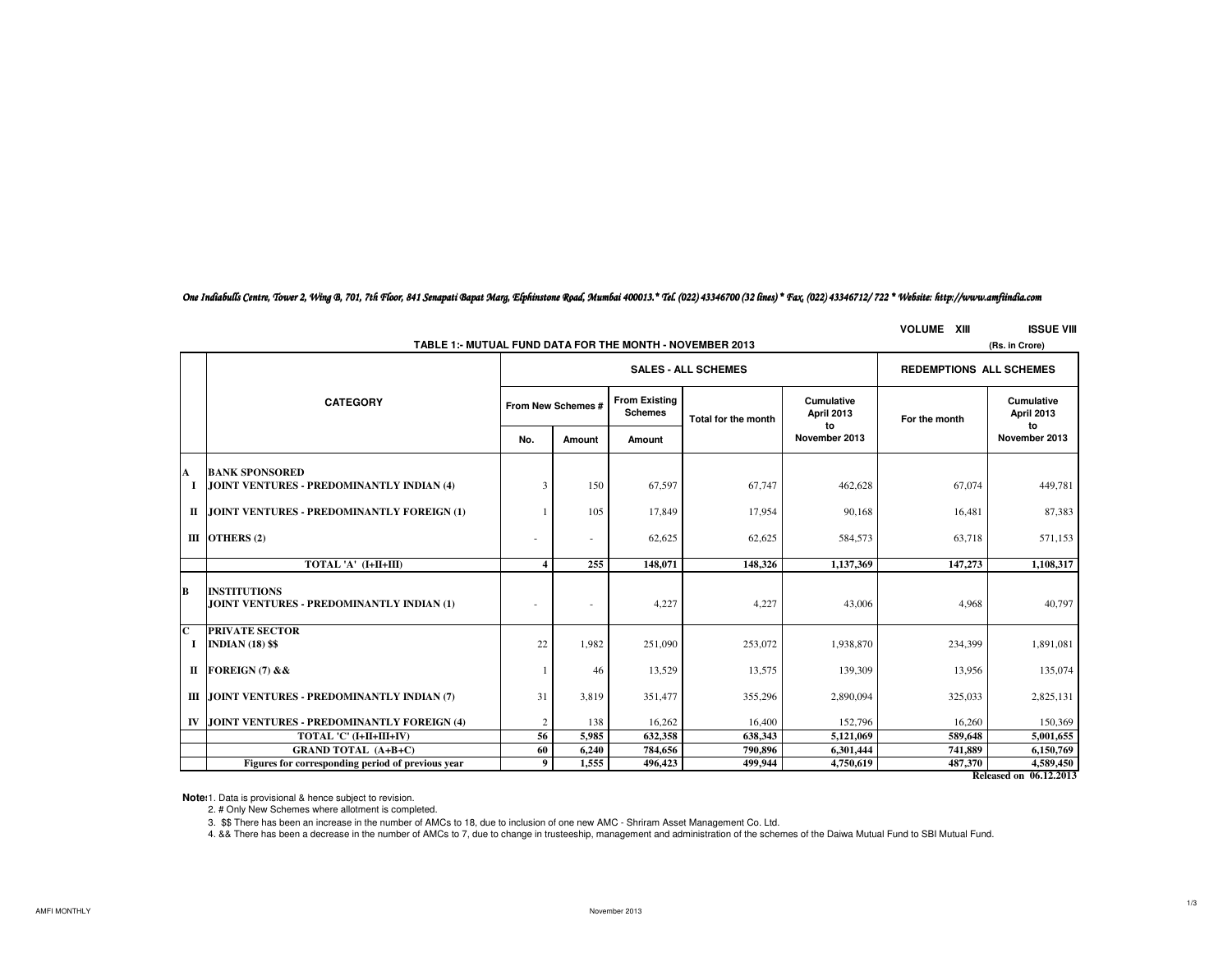*One Indiabulls Centre, Tower 2, Wing B, 701, 7th Floor, 841 Senapati Bapat Marg, Elphinstone Road, Mumbai 400013.\* Tel. (022) 43346700 (32 lines) \* Fax. (022) 43346712/ 722 \* Website: http://www.amfiindia.com*

**VOLUME XIII ISSUE VIII**

|   | TABLE 1:- MUTUAL FUND DATA FOR THE MONTH - NOVEMBER 2013         | (Rs. in Crore) |                    |                                        |                     |                                 |               |                                       |
|---|------------------------------------------------------------------|----------------|--------------------|----------------------------------------|---------------------|---------------------------------|---------------|---------------------------------------|
|   |                                                                  |                |                    | <b>SALES - ALL SCHEMES</b>             |                     | <b>REDEMPTIONS ALL SCHEMES</b>  |               |                                       |
|   | <b>CATEGORY</b>                                                  |                | From New Schemes # | <b>From Existing</b><br><b>Schemes</b> | Total for the month | <b>Cumulative</b><br>April 2013 | For the month | <b>Cumulative</b><br>April 2013<br>to |
|   |                                                                  | No.            | Amount             | Amount                                 |                     | to<br>November 2013             |               | November 2013                         |
| A | <b>BANK SPONSORED</b>                                            |                |                    |                                        |                     |                                 |               |                                       |
| 1 | JOINT VENTURES - PREDOMINANTLY INDIAN (4)                        | 3              | 150                | 67,597                                 | 67,747              | 462,628                         | 67,074        | 449,781                               |
|   | II JOINT VENTURES - PREDOMINANTLY FOREIGN (1)                    |                | 105                | 17,849                                 | 17,954              | 90,168                          | 16,481        | 87,383                                |
|   | III OTHERS $(2)$                                                 |                | ٠                  | 62,625                                 | 62,625              | 584,573                         | 63.718        | 571,153                               |
|   | TOTAL 'A' (I+II+III)                                             | 4              | 255                | 148,071                                | 148,326             | 1,137,369                       | 147,273       | 1,108,317                             |
| B | <b>INSTITUTIONS</b><br>JOINT VENTURES - PREDOMINANTLY INDIAN (1) |                | ٠                  | 4,227                                  | 4,227               | 43,006                          | 4,968         | 40,797                                |
| C | <b>PRIVATE SECTOR</b><br>I INDIAN $(18)$ \$\$                    | 22             | 1,982              | 251,090                                | 253,072             | 1,938,870                       | 234,399       | 1,891,081                             |
|   | II FOREIGN $(7)$ & &                                             |                | 46                 | 13,529                                 | 13,575              | 139,309                         | 13,956        | 135,074                               |
|   | III JOINT VENTURES - PREDOMINANTLY INDIAN (7)                    | 31             | 3,819              | 351,477                                | 355,296             | 2,890,094                       | 325,033       | 2,825,131                             |
|   | IV JOINT VENTURES - PREDOMINANTLY FOREIGN (4)                    | 2              | 138                | 16,262                                 | 16,400              | 152,796                         | 16,260        | 150,369                               |
|   | TOTAL 'C' (I+II+III+IV)                                          | 56             | 5,985              | 632,358                                | 638,343             | 5,121,069                       | 589,648       | 5,001,655                             |
|   | <b>GRAND TOTAL (A+B+C)</b>                                       | 60             | 6,240              | 784,656                                | 790,896             | 6,301,444                       | 741,889       | 6,150,769                             |
|   | Figures for corresponding period of previous year                | 9              | 1,555              | 496,423                                | 499,944             | 4,750,619                       | 487,370       | 4,589,450<br>0.612.2012               |

**Released on 06.12.2013**

**Note**: 1. Data is provisional & hence subject to revision.

2. # Only New Schemes where allotment is completed.

3. \$\$ There has been an increase in the number of AMCs to 18, due to inclusion of one new AMC - Shriram Asset Management Co. Ltd.

4. && There has been a decrease in the number of AMCs to 7, due to change in trusteeship, management and administration of the schemes of the Daiwa Mutual Fund to SBI Mutual Fund.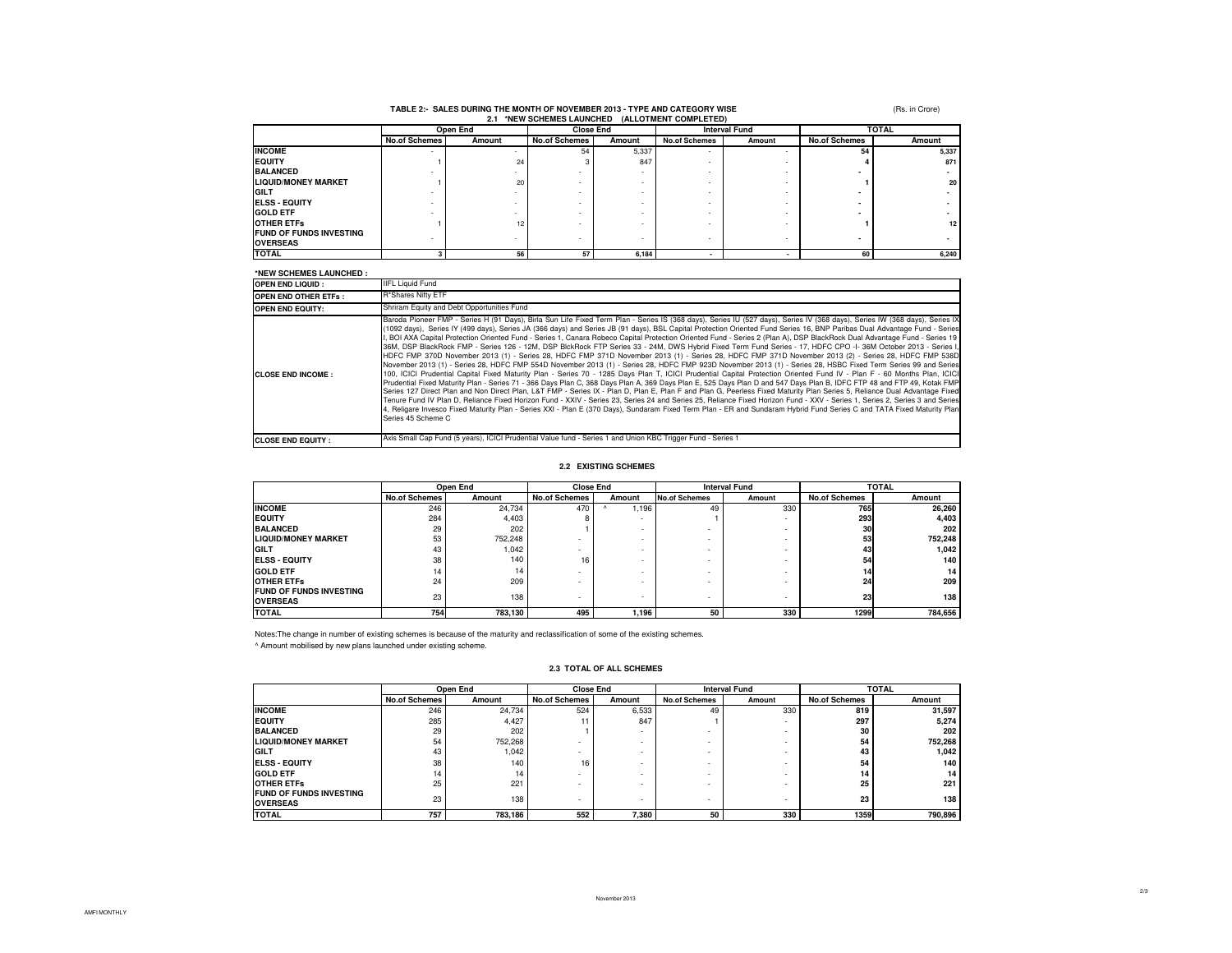# **TABLE 2:- SALES DURING THE MONTH OF NOVEMBER 2013 - TYPE AND CATEGORY WISE 2.1 \*NEW SCHEMES LAUNCHED (ALLOTMENT COMPLETED)**

(Rs. in Crore)

| ---                            |                      |        |                      |                  |                      |                      |                      |              |  |
|--------------------------------|----------------------|--------|----------------------|------------------|----------------------|----------------------|----------------------|--------------|--|
|                                | Open End             |        |                      | <b>Close End</b> |                      | <b>Interval Fund</b> |                      | <b>TOTAL</b> |  |
|                                | <b>No.of Schemes</b> | Amount | <b>No.of Schemes</b> | Amount           | <b>No.of Schemes</b> | Amount               | <b>No.of Schemes</b> | Amount       |  |
| <b>INCOME</b>                  | -                    |        | 54                   | 5,337            | -                    |                      | 54                   | 5,337        |  |
| <b>EQUITY</b>                  |                      | 24     |                      | 847              |                      |                      |                      | 871          |  |
| <b>BALANCED</b>                |                      |        |                      |                  |                      |                      |                      |              |  |
| <b>LIQUID/MONEY MARKET</b>     |                      | 20     |                      |                  |                      |                      |                      | 20           |  |
| <b>GILT</b>                    |                      |        |                      |                  |                      |                      |                      |              |  |
| <b>ELSS - EQUITY</b>           |                      |        |                      |                  |                      |                      |                      |              |  |
| <b>GOLD ETF</b>                |                      |        |                      |                  |                      |                      |                      |              |  |
| <b>OTHER ETFS</b>              |                      | 12     |                      |                  |                      |                      |                      | 12           |  |
| <b>FUND OF FUNDS INVESTING</b> |                      |        |                      |                  |                      |                      |                      |              |  |
| <b>OVERSEAS</b>                |                      |        |                      | - 11             |                      |                      |                      |              |  |
| <b>TOTAL</b>                   |                      | 56     | 57                   | 6,184            |                      |                      | 60                   | 6,240        |  |

### **\*NEW SCHEMES LAUNCHED :**

| 11-11 3811-11-2 LAUNCILD    |                                                                                                                                                                                                                                                                                                                                                                                                                                                                                                                                                                                                                                                                                                                                                                                                                                                                                                                                                                                                                                                                                                                                                                                                                                                                                                                                                                                                                                                                                                                                                                                                                                                                                                                                                                                                                                                                                                                                                  |
|-----------------------------|--------------------------------------------------------------------------------------------------------------------------------------------------------------------------------------------------------------------------------------------------------------------------------------------------------------------------------------------------------------------------------------------------------------------------------------------------------------------------------------------------------------------------------------------------------------------------------------------------------------------------------------------------------------------------------------------------------------------------------------------------------------------------------------------------------------------------------------------------------------------------------------------------------------------------------------------------------------------------------------------------------------------------------------------------------------------------------------------------------------------------------------------------------------------------------------------------------------------------------------------------------------------------------------------------------------------------------------------------------------------------------------------------------------------------------------------------------------------------------------------------------------------------------------------------------------------------------------------------------------------------------------------------------------------------------------------------------------------------------------------------------------------------------------------------------------------------------------------------------------------------------------------------------------------------------------------------|
| <b>OPEN END LIQUID:</b>     | <b>IIFL Liquid Fund</b>                                                                                                                                                                                                                                                                                                                                                                                                                                                                                                                                                                                                                                                                                                                                                                                                                                                                                                                                                                                                                                                                                                                                                                                                                                                                                                                                                                                                                                                                                                                                                                                                                                                                                                                                                                                                                                                                                                                          |
| <b>OPEN END OTHER ETFS:</b> | R*Shares Nifty ETF                                                                                                                                                                                                                                                                                                                                                                                                                                                                                                                                                                                                                                                                                                                                                                                                                                                                                                                                                                                                                                                                                                                                                                                                                                                                                                                                                                                                                                                                                                                                                                                                                                                                                                                                                                                                                                                                                                                               |
| <b>OPEN END EQUITY:</b>     | Shriram Equity and Debt Opportunities Fund                                                                                                                                                                                                                                                                                                                                                                                                                                                                                                                                                                                                                                                                                                                                                                                                                                                                                                                                                                                                                                                                                                                                                                                                                                                                                                                                                                                                                                                                                                                                                                                                                                                                                                                                                                                                                                                                                                       |
| <b>ICLOSE END INCOME :</b>  | Baroda Pioneer FMP - Series H (91 Days), Birla Sun Life Fixed Term Plan - Series IS (368 days), Series IU (527 days), Series IV (368 days), Series IW (368 days), Series IX<br>(1092 days), Series IY (499 days), Series JA (366 days) and Series JB (91 days), BSL Capital Protection Oriented Fund Series 16, BNP Paribas Dual Advantage Fund - Series<br>I. BOI AXA Capital Protection Oriented Fund - Series 1, Canara Robeco Capital Protection Oriented Fund - Series 2 (Plan A), DSP BlackRock Dual Advantage Fund - Series 19<br>36M, DSP BlackRock FMP - Series 126 - 12M, DSP BlckRock FTP Series 33 - 24M, DWS Hybrid Fixed Term Fund Series - 17, HDFC CPO -I-36M October 2013 - Series I,<br>HDFC FMP 370D November 2013 (1) - Series 28, HDFC FMP 371D November 2013 (1) - Series 28, HDFC FMP 371D November 2013 (2) - Series 28, HDFC FMP 538D<br>November 2013 (1) - Series 28, HDFC FMP 554D November 2013 (1) - Series 28, HDFC FMP 923D November 2013 (1) - Series 28, HSBC Fixed Term Series 99 and Series<br>100, ICICI Prudential Capital Fixed Maturity Plan - Series 70 - 1285 Days Plan T, ICICI Prudential Capital Protection Oriented Fund IV - Plan F - 60 Months Plan, ICICI<br>Prudential Fixed Maturity Plan - Series 71 - 366 Days Plan C, 368 Days Plan A, 369 Days Plan E, 525 Days Plan D and 547 Days Plan B, IDFC FTP 48 and FTP 49, Kotak FMP<br>Series 127 Direct Plan and Non Direct Plan, L&T FMP - Series IX - Plan D, Plan E, Plan F and Plan G, Peerless Fixed Maturity Plan Series 5, Reliance Dual Advantage Fixed<br>Tenure Fund IV Plan D, Reliance Fixed Horizon Fund - XXIV - Series 23, Series 24 and Series 25, Reliance Fixed Horizon Fund - XXV - Series 1, Series 2, Series 3 and Series<br>4. Religare Invesco Fixed Maturity Plan - Series XXI - Plan E (370 Days), Sundaram Fixed Term Plan - ER and Sundaram Hybrid Fund Series C and TATA Fixed Maturity Plan<br>Series 45 Scheme C |
| <b>CLOSE END EQUITY:</b>    | Axis Small Cap Fund (5 years), ICICI Prudential Value fund - Series 1 and Union KBC Trigger Fund - Series 1                                                                                                                                                                                                                                                                                                                                                                                                                                                                                                                                                                                                                                                                                                                                                                                                                                                                                                                                                                                                                                                                                                                                                                                                                                                                                                                                                                                                                                                                                                                                                                                                                                                                                                                                                                                                                                      |

#### **2.2 EXISTING SCHEMES**

|                                                   | Open End             |         | <b>Close End</b>         |                          | <b>Interval Fund</b>     |                          | <b>TOTAL</b>         |         |
|---------------------------------------------------|----------------------|---------|--------------------------|--------------------------|--------------------------|--------------------------|----------------------|---------|
|                                                   | <b>No.of Schemes</b> | Amount  | <b>No.of Schemes</b>     | Amount                   | <b>No.of Schemes</b>     | Amount                   | <b>No.of Schemes</b> | Amount  |
| <b>INCOME</b>                                     | 246                  | 24.734  | 470                      | .196                     | 49                       | 330                      | 765                  | 26,260  |
| <b>IEQUITY</b>                                    | 284                  | 4.403   | 8                        | $\overline{\phantom{0}}$ |                          | $\overline{\phantom{a}}$ | 293                  | 4,403   |
| <b>BALANCED</b>                                   | 29                   | 202     |                          | -                        | $\overline{\phantom{0}}$ | $\overline{\phantom{0}}$ | 30                   | 202     |
| <b>LIQUID/MONEY MARKET</b>                        | 53                   | 752,248 |                          | -                        | $\overline{\phantom{0}}$ | $\overline{\phantom{0}}$ | 53                   | 752,248 |
| <b>GILT</b>                                       | 43                   | 1.042   |                          | -                        | $\overline{\phantom{0}}$ | $\overline{\phantom{0}}$ | 43                   | 1,042   |
| <b>IELSS - EQUITY</b>                             | 38                   | 140     | 16                       | -                        | $\overline{\phantom{0}}$ | $\overline{\phantom{0}}$ | 54                   | 140     |
| <b>GOLD ETF</b>                                   | 14                   | 14      |                          | -                        | $\overline{\phantom{0}}$ | $\overline{\phantom{0}}$ |                      | 14      |
| <b>OTHER ETFS</b>                                 | 24                   | 209     |                          | -                        | $\overline{\phantom{0}}$ | $\overline{\phantom{a}}$ | 24                   | 209     |
| <b>FUND OF FUNDS INVESTING</b><br><b>OVERSEAS</b> | 23                   | 138     | $\overline{\phantom{a}}$ | -                        | $\overline{\phantom{0}}$ | $\overline{\phantom{0}}$ | 23                   | 138     |
| <b>TOTAL</b>                                      | 754                  | 783.130 | 495                      | 1,196                    | 50                       | 330                      | 1299                 | 784,656 |

Notes:The change in number of existing schemes is because of the maturity and reclassification of some of the existing schemes.^ Amount mobilised by new plans launched under existing scheme.

#### **2.3 TOTAL OF ALL SCHEMES**

|                                                   | Open End             |         | <b>Close End</b>         |        |                          | <b>TOTAL</b><br><b>Interval Fund</b> |                      |         |
|---------------------------------------------------|----------------------|---------|--------------------------|--------|--------------------------|--------------------------------------|----------------------|---------|
|                                                   | <b>No.of Schemes</b> | Amount  | <b>No.of Schemes</b>     | Amount | <b>No.of Schemes</b>     | Amount                               | <b>No.of Schemes</b> | Amount  |
| <b>INCOME</b>                                     | 246                  | 24.734  | 524                      | 6,533  | 49                       | 330                                  | 819                  | 31,597  |
| <b>EQUITY</b>                                     | 285                  | 4.427   |                          | 847    |                          | $\overline{\phantom{a}}$             | 297                  | 5.274   |
| <b>BALANCED</b>                                   | 29                   | 202     |                          |        |                          | $\overline{\phantom{0}}$             | 30                   | 202     |
| <b>LIQUID/MONEY MARKET</b>                        | 54                   | 752,268 |                          |        | $\overline{\phantom{0}}$ | $\overline{\phantom{a}}$             | 54                   | 752,268 |
| GILT                                              | 43                   | 1.042   | $\overline{\phantom{0}}$ |        | $\overline{\phantom{0}}$ | $\overline{\phantom{0}}$             | 43                   | 1.042   |
| <b>ELSS - EQUITY</b>                              | 38                   | 140     | 16                       |        | $\overline{\phantom{0}}$ | $\overline{\phantom{0}}$             | 54                   | 140     |
| <b>GOLD ETF</b>                                   | 14                   | 14      | $\overline{\phantom{a}}$ |        | $\overline{\phantom{0}}$ | $\overline{\phantom{a}}$             | 14                   | 14      |
| <b>OTHER ETFS</b>                                 | 25                   | 221     |                          |        | $\overline{\phantom{0}}$ | $\overline{\phantom{0}}$             | 25                   | 221     |
| <b>FUND OF FUNDS INVESTING</b><br><b>OVERSEAS</b> | 23                   | 138     | $\overline{\phantom{0}}$ |        | $\overline{\phantom{0}}$ | $\overline{\phantom{0}}$             | 23                   | 138     |
| <b>TOTAL</b>                                      | 757                  | 783,186 | 552                      | 7,380  | 50                       | 330                                  | 1359                 | 790,896 |